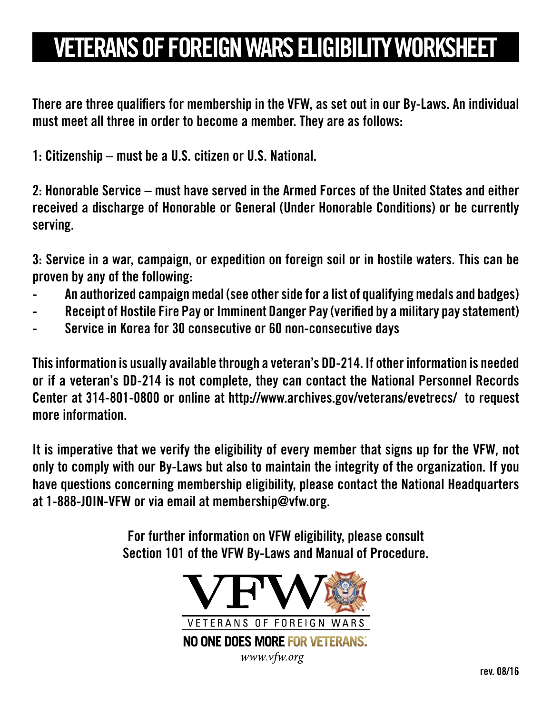## VETERANS OF FOREIGN WARS ELIGIBILITY WORKSHEET

There are three qualifiers for membership in the VFW, as set out in our By-Laws. An individual must meet all three in order to become a member. They are as follows:

1: Citizenship – must be a U.S. citizen or U.S. National.

2: Honorable Service – must have served in the Armed Forces of the United States and either received a discharge of Honorable or General (Under Honorable Conditions) or be currently serving.

3: Service in a war, campaign, or expedition on foreign soil or in hostile waters. This can be proven by any of the following:

- An authorized campaign medal (see other side for a list of qualifying medals and badges)
- Receipt of Hostile Fire Pay or Imminent Danger Pay (verified by a military pay statement)
- Service in Korea for 30 consecutive or 60 non-consecutive days

This information is usually available through a veteran's DD-214. If other information is needed or if a veteran's DD-214 is not complete, they can contact the National Personnel Records Center at 314-801-0800 or online at http://www.archives.gov/veterans/evetrecs/ to request more information.

It is imperative that we verify the eligibility of every member that signs up for the VFW, not only to comply with our By-Laws but also to maintain the integrity of the organization. If you have questions concerning membership eligibility, please contact the National Headquarters at 1-888-JOIN-VFW or via email at membership@vfw.org.

> For further information on VFW eligibility, please consult Section 101 of the VFW By-Laws and Manual of Procedure.